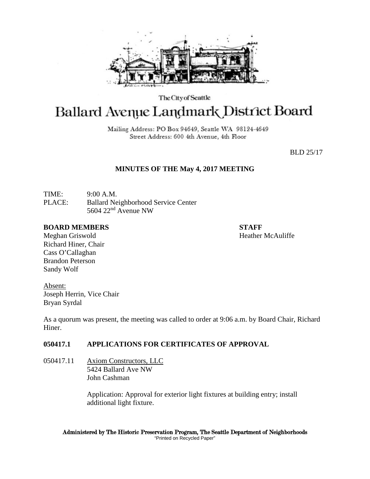

The City of Seattle

# Ballard Avenue Landmark District Board

Mailing Address: PO Box 94649, Seattle WA 98124-4649 Street Address: 600 4th Avenue, 4th Floor

BLD 25/17

# **MINUTES OF THE May 4, 2017 MEETING**

TIME: 9:00 A.M. PLACE: Ballard Neighborhood Service Center 5604 22nd Avenue NW

#### **BOARD MEMBERS STAFF**

Meghan Griswold **Heather McAuliffe** Richard Hiner, Chair Cass O'Callaghan Brandon Peterson Sandy Wolf

Absent:

Joseph Herrin, Vice Chair Bryan Syrdal

As a quorum was present, the meeting was called to order at 9:06 a.m. by Board Chair, Richard Hiner.

# **050417.1 APPLICATIONS FOR CERTIFICATES OF APPROVAL**

050417.11 Axiom Constructors, LLC 5424 Ballard Ave NW John Cashman

> Application: Approval for exterior light fixtures at building entry; install additional light fixture.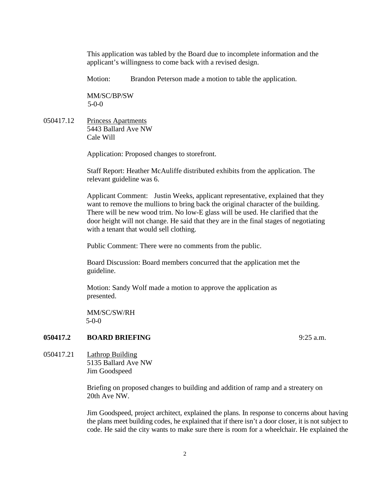This application was tabled by the Board due to incomplete information and the applicant's willingness to come back with a revised design.

Motion: Brandon Peterson made a motion to table the application.

MM/SC/BP/SW 5-0-0

050417.12 Princess Apartments 5443 Ballard Ave NW Cale Will

Application: Proposed changes to storefront.

Staff Report: Heather McAuliffe distributed exhibits from the application. The relevant guideline was 6.

Applicant Comment: Justin Weeks, applicant representative, explained that they want to remove the mullions to bring back the original character of the building. There will be new wood trim. No low-E glass will be used. He clarified that the door height will not change. He said that they are in the final stages of negotiating with a tenant that would sell clothing.

Public Comment: There were no comments from the public.

Board Discussion: Board members concurred that the application met the guideline.

Motion: Sandy Wolf made a motion to approve the application as presented.

MM/SC/SW/RH 5-0-0

# **050417.2 BOARD BRIEFING** 9:25 a.m.

050417.21 Lathrop Building 5135 Ballard Ave NW Jim Goodspeed

> Briefing on proposed changes to building and addition of ramp and a streatery on 20th Ave NW.

Jim Goodspeed, project architect, explained the plans. In response to concerns about having the plans meet building codes, he explained that if there isn't a door closer, it is not subject to code. He said the city wants to make sure there is room for a wheelchair. He explained the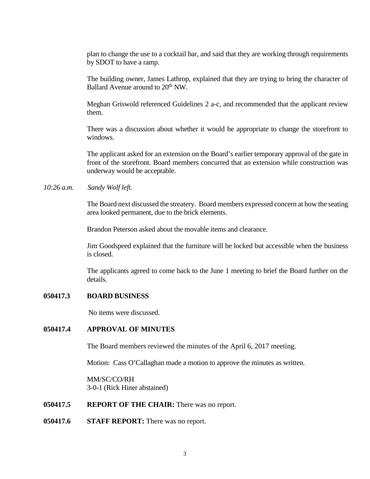plan to change the use to a cocktail bar, and said that they are working through requirements by SDOT to have a ramp.

The building owner, James Lathrop, explained that they are trying to bring the character of Ballard Avenue around to 20<sup>th</sup> NW.

Meghan Griswold referenced Guidelines 2 a-c, and recommended that the applicant review them.

There was a discussion about whether it would be appropriate to change the storefront to windows.

The applicant asked for an extension on the Board's earlier temporary approval of the gate in front of the storefront. Board members concurred that an extension while construction was underway would be acceptable.

*10:26 a.m. Sandy Wolf left.*

The Board next discussed the streatery. Board members expressed concern at how the seating area looked permanent, due to the brick elements.

Brandon Peterson asked about the movable items and clearance.

Jim Goodspeed explained that the furniture will be locked but accessible when the business is closed.

The applicants agreed to come back to the June 1 meeting to brief the Board further on the details.

# **050417.3 BOARD BUSINESS**

No items were discussed.

### **050417.4 APPROVAL OF MINUTES**

The Board members reviewed the minutes of the April 6, 2017 meeting.

Motion: Cass O'Callaghan made a motion to approve the minutes as written.

MM/SC/CO/RH 3-0-1 (Rick Hiner abstained)

- **050417.5 REPORT OF THE CHAIR:** There was no report.
- **050417.6 STAFF REPORT:** There was no report.